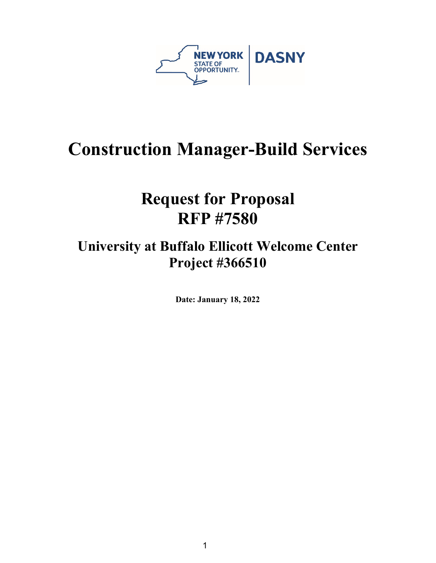

# **Construction Manager-Build Services**

# **Request for Proposal RFP #7580**

# **University at Buffalo Ellicott Welcome Center Project #366510**

**Date: January 18, 2022**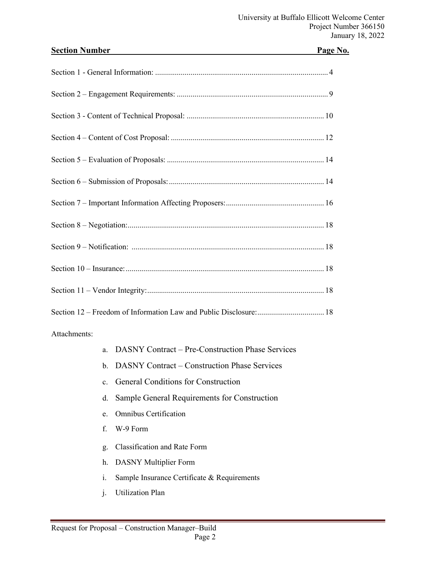| <b>Section Number</b>                                         | Page No. |
|---------------------------------------------------------------|----------|
|                                                               |          |
|                                                               |          |
|                                                               |          |
|                                                               |          |
|                                                               |          |
|                                                               |          |
|                                                               |          |
|                                                               |          |
|                                                               |          |
|                                                               |          |
|                                                               |          |
|                                                               |          |
| Attachments:                                                  |          |
| <b>DASNY Contract – Pre-Construction Phase Services</b><br>a. |          |
| <b>DASNY Contract – Construction Phase Services</b><br>b.     |          |
| <b>General Conditions for Construction</b><br>$\mathbf{c}$ .  |          |
| Sample General Requirements for Construction<br>d.            |          |

- e. Omnibus Certification
- f. W-9 Form
- g. Classification and Rate Form
- h. DASNY Multiplier Form
- i. Sample Insurance Certificate & Requirements
- j. Utilization Plan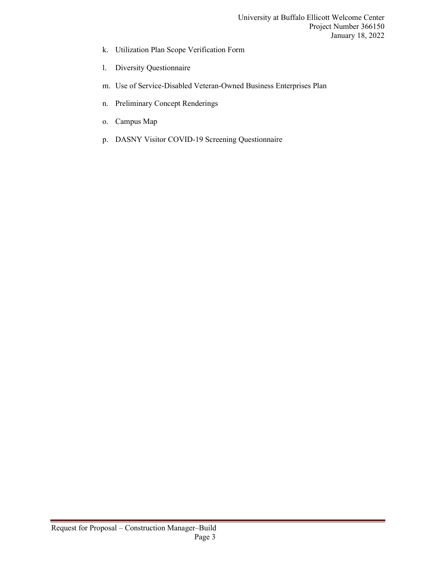- k. Utilization Plan Scope Verification Form
- l. Diversity Questionnaire
- m. Use of Service-Disabled Veteran-Owned Business Enterprises Plan
- n. Preliminary Concept Renderings
- o. Campus Map
- p. DASNY Visitor COVID-19 Screening Questionnaire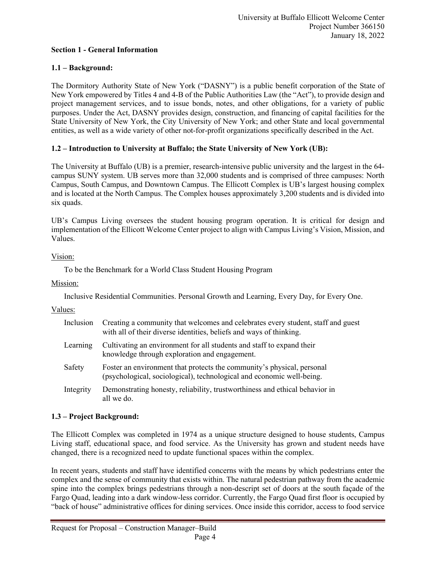#### **Section 1 - General Information**

# **1.1 – Background:**

The Dormitory Authority State of New York ("DASNY") is a public benefit corporation of the State of New York empowered by Titles 4 and 4-B of the Public Authorities Law (the "Act"), to provide design and project management services, and to issue bonds, notes, and other obligations, for a variety of public purposes. Under the Act, DASNY provides design, construction, and financing of capital facilities for the State University of New York, the City University of New York; and other State and local governmental entities, as well as a wide variety of other not-for-profit organizations specifically described in the Act.

# **1.2 – Introduction to University at Buffalo; the State University of New York (UB):**

The University at Buffalo (UB) is a premier, research-intensive public university and the largest in the 64 campus SUNY system. UB serves more than 32,000 students and is comprised of three campuses: North Campus, South Campus, and Downtown Campus. The Ellicott Complex is UB's largest housing complex and is located at the North Campus. The Complex houses approximately 3,200 students and is divided into six quads.

UB's Campus Living oversees the student housing program operation. It is critical for design and implementation of the Ellicott Welcome Center project to align with Campus Living's Vision, Mission, and Values.

# Vision:

To be the Benchmark for a World Class Student Housing Program

#### Mission:

Inclusive Residential Communities. Personal Growth and Learning, Every Day, for Every One.

#### Values:

| Inclusion | Creating a community that welcomes and celebrates every student, staff and guest<br>with all of their diverse identities, beliefs and ways of thinking. |
|-----------|---------------------------------------------------------------------------------------------------------------------------------------------------------|
| Learning  | Cultivating an environment for all students and staff to expand their<br>knowledge through exploration and engagement.                                  |
| Safety    | Foster an environment that protects the community's physical, personal<br>(psychological, sociological), technological and economic well-being.         |
| Integrity | Demonstrating honesty, reliability, trustworthiness and ethical behavior in<br>all we do.                                                               |

# **1.3 – Project Background:**

The Ellicott Complex was completed in 1974 as a unique structure designed to house students, Campus Living staff, educational space, and food service. As the University has grown and student needs have changed, there is a recognized need to update functional spaces within the complex.

In recent years, students and staff have identified concerns with the means by which pedestrians enter the complex and the sense of community that exists within. The natural pedestrian pathway from the academic spine into the complex brings pedestrians through a non-descript set of doors at the south façade of the Fargo Quad, leading into a dark window-less corridor. Currently, the Fargo Quad first floor is occupied by "back of house" administrative offices for dining services. Once inside this corridor, access to food service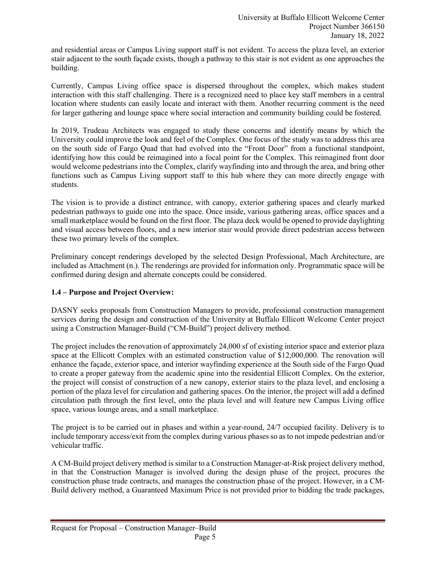and residential areas or Campus Living support staff is not evident. To access the plaza level, an exterior stair adjacent to the south façade exists, though a pathway to this stair is not evident as one approaches the building.

Currently, Campus Living office space is dispersed throughout the complex, which makes student interaction with this staff challenging. There is a recognized need to place key staff members in a central location where students can easily locate and interact with them. Another recurring comment is the need for larger gathering and lounge space where social interaction and community building could be fostered.

In 2019, Trudeau Architects was engaged to study these concerns and identify means by which the University could improve the look and feel of the Complex. One focus of the study was to address this area on the south side of Fargo Quad that had evolved into the "Front Door" from a functional standpoint, identifying how this could be reimagined into a focal point for the Complex. This reimagined front door would welcome pedestrians into the Complex, clarify wayfinding into and through the area, and bring other functions such as Campus Living support staff to this hub where they can more directly engage with students.

The vision is to provide a distinct entrance, with canopy, exterior gathering spaces and clearly marked pedestrian pathways to guide one into the space. Once inside, various gathering areas, office spaces and a small marketplace would be found on the first floor. The plaza deck would be opened to provide daylighting and visual access between floors, and a new interior stair would provide direct pedestrian access between these two primary levels of the complex.

Preliminary concept renderings developed by the selected Design Professional, Mach Architecture, are included as Attachment (n.). The renderings are provided for information only. Programmatic space will be confirmed during design and alternate concepts could be considered.

# **1.4 – Purpose and Project Overview:**

DASNY seeks proposals from Construction Managers to provide, professional construction management services during the design and construction of the University at Buffalo Ellicott Welcome Center project using a Construction Manager-Build ("CM-Build") project delivery method.

The project includes the renovation of approximately 24,000 sf of existing interior space and exterior plaza space at the Ellicott Complex with an estimated construction value of \$12,000,000. The renovation will enhance the façade, exterior space, and interior wayfinding experience at the South side of the Fargo Quad to create a proper gateway from the academic spine into the residential Ellicott Complex. On the exterior, the project will consist of construction of a new canopy, exterior stairs to the plaza level, and enclosing a portion of the plaza level for circulation and gathering spaces. On the interior, the project will add a defined circulation path through the first level, onto the plaza level and will feature new Campus Living office space, various lounge areas, and a small marketplace.

The project is to be carried out in phases and within a year-round, 24/7 occupied facility. Delivery is to include temporary access/exit from the complex during various phases so as to not impede pedestrian and/or vehicular traffic.

A CM-Build project delivery method is similar to a Construction Manager-at-Risk project delivery method, in that the Construction Manager is involved during the design phase of the project, procures the construction phase trade contracts, and manages the construction phase of the project. However, in a CM-Build delivery method, a Guaranteed Maximum Price is not provided prior to bidding the trade packages,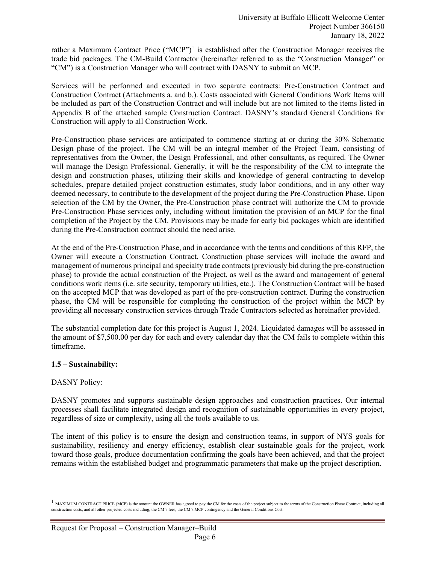rather a Maximum Contract Price ("MCP")<sup>[1](#page-5-0)</sup> is established after the Construction Manager receives the trade bid packages. The CM-Build Contractor (hereinafter referred to as the "Construction Manager" or "CM") is a Construction Manager who will contract with DASNY to submit an MCP.

Services will be performed and executed in two separate contracts: Pre-Construction Contract and Construction Contract (Attachments a. and b.). Costs associated with General Conditions Work Items will be included as part of the Construction Contract and will include but are not limited to the items listed in Appendix B of the attached sample Construction Contract. DASNY's standard General Conditions for Construction will apply to all Construction Work.

Pre-Construction phase services are anticipated to commence starting at or during the 30% Schematic Design phase of the project. The CM will be an integral member of the Project Team, consisting of representatives from the Owner, the Design Professional, and other consultants, as required. The Owner will manage the Design Professional. Generally, it will be the responsibility of the CM to integrate the design and construction phases, utilizing their skills and knowledge of general contracting to develop schedules, prepare detailed project construction estimates, study labor conditions, and in any other way deemed necessary, to contribute to the development of the project during the Pre-Construction Phase. Upon selection of the CM by the Owner, the Pre-Construction phase contract will authorize the CM to provide Pre-Construction Phase services only, including without limitation the provision of an MCP for the final completion of the Project by the CM. Provisions may be made for early bid packages which are identified during the Pre-Construction contract should the need arise.

At the end of the Pre-Construction Phase, and in accordance with the terms and conditions of this RFP, the Owner will execute a Construction Contract. Construction phase services will include the award and management of numerous principal and specialty trade contracts(previously bid during the pre-construction phase) to provide the actual construction of the Project, as well as the award and management of general conditions work items (i.e. site security, temporary utilities, etc.). The Construction Contract will be based on the accepted MCP that was developed as part of the pre-construction contract. During the construction phase, the CM will be responsible for completing the construction of the project within the MCP by providing all necessary construction services through Trade Contractors selected as hereinafter provided.

The substantial completion date for this project is August 1, 2024. Liquidated damages will be assessed in the amount of \$7,500.00 per day for each and every calendar day that the CM fails to complete within this timeframe.

#### **1.5 – Sustainability:**

#### DASNY Policy:

DASNY promotes and supports sustainable design approaches and construction practices. Our internal processes shall facilitate integrated design and recognition of sustainable opportunities in every project, regardless of size or complexity, using all the tools available to us.

The intent of this policy is to ensure the design and construction teams, in support of NYS goals for sustainability, resiliency and energy efficiency, establish clear sustainable goals for the project, work toward those goals, produce documentation confirming the goals have been achieved, and that the project remains within the established budget and programmatic parameters that make up the project description.

<span id="page-5-0"></span><sup>&</sup>lt;sup>1</sup> MAXIMUM CONTRACT PRICE (MCP) is the amount the OWNER has agreed to pay the CM for the costs of the project subject to the terms of the Construction Phase Contract, including all construction costs, and all other projected costs including, the CM's fees, the CM's MCP contingency and the General Conditions Cost.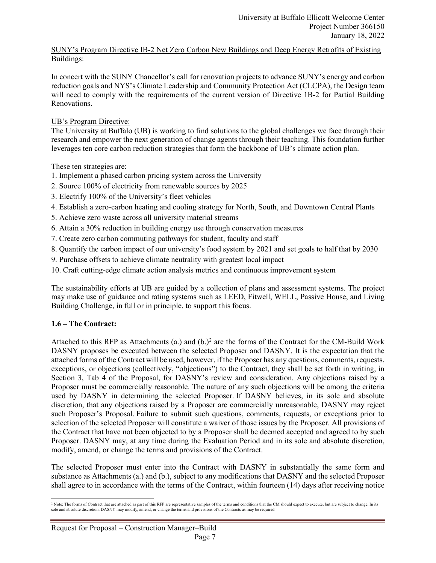#### SUNY's Program Directive IB-2 Net Zero Carbon New Buildings and Deep Energy Retrofits of Existing Buildings:

In concert with the SUNY Chancellor's call for renovation projects to advance SUNY's energy and carbon reduction goals and NYS's Climate Leadership and Community Protection Act (CLCPA), the Design team will need to comply with the requirements of the current version of Directive 1B-2 for Partial Building Renovations.

# UB's Program Directive:

The University at Buffalo (UB) is working to find solutions to the global challenges we face through their research and empower the next generation of change agents through their teaching. This foundation further leverages ten core carbon reduction strategies that form the backbone of UB's climate action plan.

These ten strategies are:

- 1. Implement a phased carbon pricing system across the University
- 2. Source 100% of electricity from renewable sources by 2025
- 3. Electrify 100% of the University's fleet vehicles
- 4. Establish a zero-carbon heating and cooling strategy for North, South, and Downtown Central Plants
- 5. Achieve zero waste across all university material streams
- 6. Attain a 30% reduction in building energy use through conservation measures
- 7. Create zero carbon commuting pathways for student, faculty and staff
- 8. Quantify the carbon impact of our university's food system by 2021 and set goals to half that by 2030
- 9. Purchase offsets to achieve climate neutrality with greatest local impact
- 10. Craft cutting-edge climate action analysis metrics and continuous improvement system

The sustainability efforts at UB are guided by a collection of plans and assessment systems. The project may make use of guidance and rating systems such as LEED, Fitwell, WELL, Passive House, and Living Building Challenge, in full or in principle, to support this focus.

# **1.6 – The Contract:**

Attached to this RFP as Attachments (a.) and  $(b.)^2$  $(b.)^2$  are the forms of the Contract for the CM-Build Work DASNY proposes be executed between the selected Proposer and DASNY. It is the expectation that the attached forms of the Contract will be used, however, if the Proposer has any questions, comments, requests, exceptions, or objections (collectively, "objections") to the Contract, they shall be set forth in writing, in Section 3, Tab 4 of the Proposal, for DASNY's review and consideration. Any objections raised by a Proposer must be commercially reasonable. The nature of any such objections will be among the criteria used by DASNY in determining the selected Proposer. If DASNY believes, in its sole and absolute discretion, that any objections raised by a Proposer are commercially unreasonable, DASNY may reject such Proposer's Proposal. Failure to submit such questions, comments, requests, or exceptions prior to selection of the selected Proposer will constitute a waiver of those issues by the Proposer. All provisions of the Contract that have not been objected to by a Proposer shall be deemed accepted and agreed to by such Proposer. DASNY may, at any time during the Evaluation Period and in its sole and absolute discretion, modify, amend, or change the terms and provisions of the Contract.

The selected Proposer must enter into the Contract with DASNY in substantially the same form and substance as Attachments (a.) and (b.), subject to any modifications that DASNY and the selected Proposer shall agree to in accordance with the terms of the Contract, within fourteen (14) days after receiving notice

<span id="page-6-0"></span><sup>&</sup>lt;sup>2</sup> Note: The forms of Contract that are attached as part of this RFP are representative samples of the terms and conditions that the CM should expect to execute, but are subject to change. In its sole and absolute discretion, DASNY may modify, amend, or change the terms and provisions of the Contracts as may be required.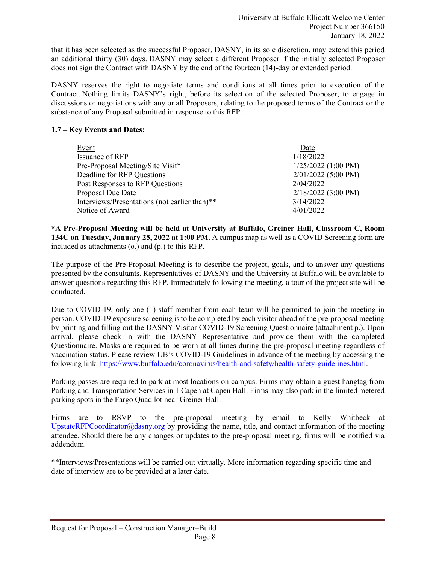that it has been selected as the successful Proposer. DASNY, in its sole discretion, may extend this period an additional thirty (30) days. DASNY may select a different Proposer if the initially selected Proposer does not sign the Contract with DASNY by the end of the fourteen (14)-day or extended period.

DASNY reserves the right to negotiate terms and conditions at all times prior to execution of the Contract. Nothing limits DASNY's right, before its selection of the selected Proposer, to engage in discussions or negotiations with any or all Proposers, relating to the proposed terms of the Contract or the substance of any Proposal submitted in response to this RFP.

# **1.7 – Key Events and Dates:**

| Event                                         | Date                  |
|-----------------------------------------------|-----------------------|
| Issuance of RFP                               | 1/18/2022             |
| Pre-Proposal Meeting/Site Visit*              | $1/25/2022$ (1:00 PM) |
| Deadline for RFP Questions                    | $2/01/2022$ (5:00 PM) |
| Post Responses to RFP Questions               | 2/04/2022             |
| Proposal Due Date                             | $2/18/2022$ (3:00 PM) |
| Interviews/Presentations (not earlier than)** | 3/14/2022             |
| Notice of Award                               | 4/01/2022             |

**\*A Pre-Proposal Meeting will be held at University at Buffalo, Greiner Hall, Classroom C, Room 134C on Tuesday, January 25, 2022 at 1:00 PM.** A campus map as well as a COVID Screening form are included as attachments (o.) and (p.) to this RFP.

The purpose of the Pre-Proposal Meeting is to describe the project, goals, and to answer any questions presented by the consultants. Representatives of DASNY and the University at Buffalo will be available to answer questions regarding this RFP. Immediately following the meeting, a tour of the project site will be conducted.

Due to COVID-19, only one (1) staff member from each team will be permitted to join the meeting in person. COVID-19 exposure screening is to be completed by each visitor ahead of the pre-proposal meeting by printing and filling out the DASNY Visitor COVID-19 Screening Questionnaire (attachment p.). Upon arrival, please check in with the DASNY Representative and provide them with the completed Questionnaire. Masks are required to be worn at all times during the pre-proposal meeting regardless of vaccination status. Please review UB's COVID-19 Guidelines in advance of the meeting by accessing the following link: [https://www.buffalo.edu/coronavirus/health-and-safety/health-safety-guidelines.html.](https://www.buffalo.edu/coronavirus/health-and-safety/health-safety-guidelines.html)

Parking passes are required to park at most locations on campus. Firms may obtain a guest hangtag from Parking and Transportation Services in 1 Capen at Capen Hall. Firms may also park in the limited metered parking spots in the Fargo Quad lot near Greiner Hall.

Firms are to RSVP to the pre-proposal meeting by email to Kelly Whitbeck at [UpstateRFPCoordinator@dasny.org](mailto:UpstateRFPCoordinator@dasny.org) by providing the name, title, and contact information of the meeting attendee. Should there be any changes or updates to the pre-proposal meeting, firms will be notified via addendum.

\*\*Interviews/Presentations will be carried out virtually. More information regarding specific time and date of interview are to be provided at a later date.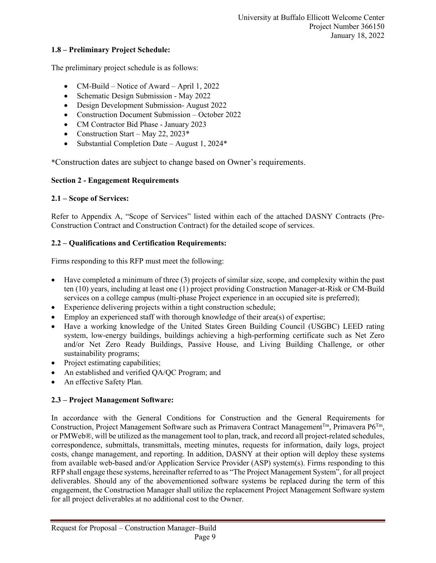#### **1.8 – Preliminary Project Schedule:**

The preliminary project schedule is as follows:

- CM-Build Notice of Award April 1, 2022
- Schematic Design Submission May 2022
- Design Development Submission- August 2022
- Construction Document Submission October 2022
- CM Contractor Bid Phase January 2023
- Construction Start May 22, 2023 $*$
- Substantial Completion Date August 1, 2024\*

\*Construction dates are subject to change based on Owner's requirements.

#### **Section 2 - Engagement Requirements**

#### **2.1 – Scope of Services:**

Refer to Appendix A, "Scope of Services" listed within each of the attached DASNY Contracts (Pre-Construction Contract and Construction Contract) for the detailed scope of services.

#### **2.2 – Qualifications and Certification Requirements:**

Firms responding to this RFP must meet the following:

- Have completed a minimum of three (3) projects of similar size, scope, and complexity within the past ten (10) years, including at least one (1) project providing Construction Manager-at-Risk or CM-Build services on a college campus (multi-phase Project experience in an occupied site is preferred);
- Experience delivering projects within a tight construction schedule;
- Employ an experienced staff with thorough knowledge of their area(s) of expertise;
- Have a working knowledge of the United States Green Building Council (USGBC) LEED rating system, low-energy buildings, buildings achieving a high-performing certificate such as Net Zero and/or Net Zero Ready Buildings, Passive House, and Living Building Challenge, or other sustainability programs;
- Project estimating capabilities;
- An established and verified QA/QC Program; and
- An effective Safety Plan.

#### **2.3 – Project Management Software:**

In accordance with the General Conditions for Construction and the General Requirements for Construction, Project Management Software such as Primavera Contract Management<sup>Tm</sup>, Primavera P6<sup>Tm</sup>, or PMWeb®, will be utilized as the management tool to plan, track, and record all project-related schedules, correspondence, submittals, transmittals, meeting minutes, requests for information, daily logs, project costs, change management, and reporting. In addition, DASNY at their option will deploy these systems from available web-based and/or Application Service Provider (ASP) system(s). Firms responding to this RFP shall engage these systems, hereinafter referred to as "The Project Management System", for all project deliverables. Should any of the abovementioned software systems be replaced during the term of this engagement, the Construction Manager shall utilize the replacement Project Management Software system for all project deliverables at no additional cost to the Owner.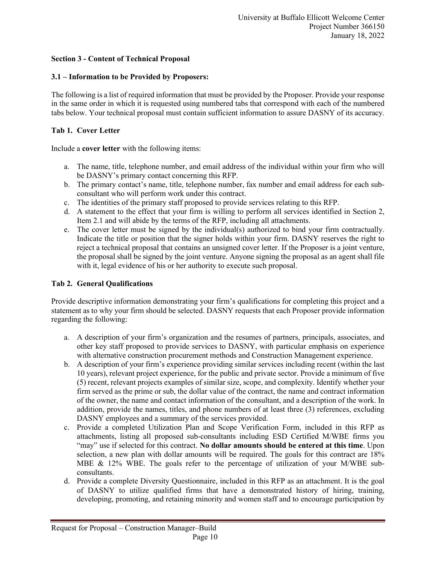# **Section 3 - Content of Technical Proposal**

# **3.1 – Information to be Provided by Proposers:**

The following is a list of required information that must be provided by the Proposer. Provide your response in the same order in which it is requested using numbered tabs that correspond with each of the numbered tabs below. Your technical proposal must contain sufficient information to assure DASNY of its accuracy.

# **Tab 1. Cover Letter**

Include a **cover letter** with the following items:

- a. The name, title, telephone number, and email address of the individual within your firm who will be DASNY's primary contact concerning this RFP.
- b. The primary contact's name, title, telephone number, fax number and email address for each subconsultant who will perform work under this contract.
- c. The identities of the primary staff proposed to provide services relating to this RFP.
- d. A statement to the effect that your firm is willing to perform all services identified in Section 2, Item 2.1 and will abide by the terms of the RFP, including all attachments.
- e. The cover letter must be signed by the individual(s) authorized to bind your firm contractually. Indicate the title or position that the signer holds within your firm. DASNY reserves the right to reject a technical proposal that contains an unsigned cover letter. If the Proposer is a joint venture, the proposal shall be signed by the joint venture. Anyone signing the proposal as an agent shall file with it, legal evidence of his or her authority to execute such proposal.

#### **Tab 2. General Qualifications**

Provide descriptive information demonstrating your firm's qualifications for completing this project and a statement as to why your firm should be selected. DASNY requests that each Proposer provide information regarding the following:

- a. A description of your firm's organization and the resumes of partners, principals, associates, and other key staff proposed to provide services to DASNY, with particular emphasis on experience with alternative construction procurement methods and Construction Management experience.
- b. A description of your firm's experience providing similar services including recent (within the last 10 years), relevant project experience, for the public and private sector. Provide a minimum of five (5) recent, relevant projects examples of similar size, scope, and complexity. Identify whether your firm served as the prime or sub, the dollar value of the contract, the name and contract information of the owner, the name and contact information of the consultant, and a description of the work. In addition, provide the names, titles, and phone numbers of at least three (3) references, excluding DASNY employees and a summary of the services provided.
- c. Provide a completed Utilization Plan and Scope Verification Form, included in this RFP as attachments, listing all proposed sub-consultants including ESD Certified M/WBE firms you "may" use if selected for this contract. **No dollar amounts should be entered at this time**. Upon selection, a new plan with dollar amounts will be required. The goals for this contract are 18% MBE & 12% WBE. The goals refer to the percentage of utilization of your M/WBE subconsultants.
- d. Provide a complete Diversity Questionnaire, included in this RFP as an attachment. It is the goal of DASNY to utilize qualified firms that have a demonstrated history of hiring, training, developing, promoting, and retaining minority and women staff and to encourage participation by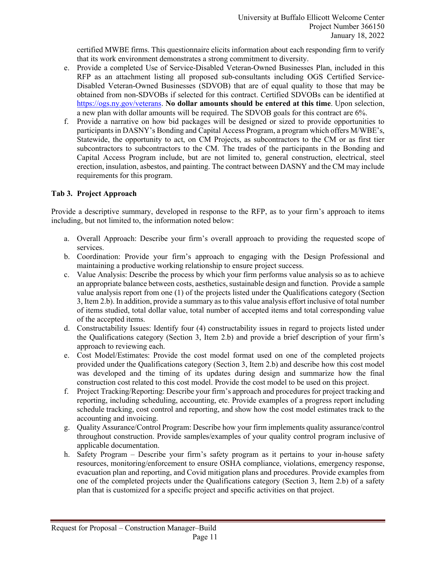certified MWBE firms. This questionnaire elicits information about each responding firm to verify that its work environment demonstrates a strong commitment to diversity.

- e. Provide a completed Use of Service-Disabled Veteran-Owned Businesses Plan, included in this RFP as an attachment listing all proposed sub-consultants including OGS Certified Service-Disabled Veteran-Owned Businesses (SDVOB) that are of equal quality to those that may be obtained from non-SDVOBs if selected for this contract. Certified SDVOBs can be identified at [https://ogs.ny.gov/veterans.](https://ogs.ny.gov/veterans) **No dollar amounts should be entered at this time**. Upon selection, a new plan with dollar amounts will be required. The SDVOB goals for this contract are 6%.
- f. Provide a narrative on how bid packages will be designed or sized to provide opportunities to participants in DASNY's Bonding and Capital Access Program, a program which offers M/WBE's, Statewide, the opportunity to act, on CM Projects, as subcontractors to the CM or as first tier subcontractors to subcontractors to the CM. The trades of the participants in the Bonding and Capital Access Program include, but are not limited to, general construction, electrical, steel erection, insulation, asbestos, and painting. The contract between DASNY and the CM may include requirements for this program.

# **Tab 3. Project Approach**

Provide a descriptive summary, developed in response to the RFP, as to your firm's approach to items including, but not limited to, the information noted below:

- a. Overall Approach: Describe your firm's overall approach to providing the requested scope of services.
- b. Coordination: Provide your firm's approach to engaging with the Design Professional and maintaining a productive working relationship to ensure project success.
- c. Value Analysis: Describe the process by which your firm performs value analysis so as to achieve an appropriate balance between costs, aesthetics, sustainable design and function. Provide a sample value analysis report from one (1) of the projects listed under the Qualifications category (Section 3, Item 2.b). In addition, provide a summary as to this value analysis effort inclusive of total number of items studied, total dollar value, total number of accepted items and total corresponding value of the accepted items.
- d. Constructability Issues: Identify four (4) constructability issues in regard to projects listed under the Qualifications category (Section 3, Item 2.b) and provide a brief description of your firm's approach to reviewing each.
- e. Cost Model/Estimates: Provide the cost model format used on one of the completed projects provided under the Qualifications category (Section 3, Item 2.b) and describe how this cost model was developed and the timing of its updates during design and summarize how the final construction cost related to this cost model. Provide the cost model to be used on this project.
- f. Project Tracking/Reporting: Describe your firm's approach and procedures for project tracking and reporting, including scheduling, accounting, etc. Provide examples of a progress report including schedule tracking, cost control and reporting, and show how the cost model estimates track to the accounting and invoicing.
- g. Quality Assurance/Control Program: Describe how your firm implements quality assurance/control throughout construction. Provide samples/examples of your quality control program inclusive of applicable documentation.
- h. Safety Program Describe your firm's safety program as it pertains to your in-house safety resources, monitoring/enforcement to ensure OSHA compliance, violations, emergency response, evacuation plan and reporting, and Covid mitigation plans and procedures. Provide examples from one of the completed projects under the Qualifications category (Section 3, Item 2.b) of a safety plan that is customized for a specific project and specific activities on that project.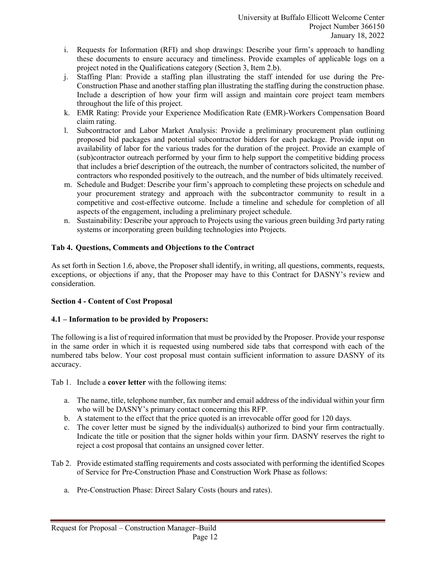- i. Requests for Information (RFI) and shop drawings: Describe your firm's approach to handling these documents to ensure accuracy and timeliness. Provide examples of applicable logs on a project noted in the Qualifications category (Section 3, Item 2.b).
- j. Staffing Plan: Provide a staffing plan illustrating the staff intended for use during the Pre-Construction Phase and another staffing plan illustrating the staffing during the construction phase. Include a description of how your firm will assign and maintain core project team members throughout the life of this project.
- k. EMR Rating: Provide your Experience Modification Rate (EMR)-Workers Compensation Board claim rating.
- l. Subcontractor and Labor Market Analysis: Provide a preliminary procurement plan outlining proposed bid packages and potential subcontractor bidders for each package. Provide input on availability of labor for the various trades for the duration of the project. Provide an example of (sub)contractor outreach performed by your firm to help support the competitive bidding process that includes a brief description of the outreach, the number of contractors solicited, the number of contractors who responded positively to the outreach, and the number of bids ultimately received.
- m. Schedule and Budget: Describe your firm's approach to completing these projects on schedule and your procurement strategy and approach with the subcontractor community to result in a competitive and cost-effective outcome. Include a timeline and schedule for completion of all aspects of the engagement, including a preliminary project schedule.
- n. Sustainability: Describe your approach to Projects using the various green building 3rd party rating systems or incorporating green building technologies into Projects.

#### **Tab 4. Questions, Comments and Objections to the Contract**

As set forth in Section 1.6, above, the Proposer shall identify, in writing, all questions, comments, requests, exceptions, or objections if any, that the Proposer may have to this Contract for DASNY's review and consideration.

#### **Section 4 - Content of Cost Proposal**

# **4.1 – Information to be provided by Proposers:**

The following is a list of required information that must be provided by the Proposer. Provide your response in the same order in which it is requested using numbered side tabs that correspond with each of the numbered tabs below. Your cost proposal must contain sufficient information to assure DASNY of its accuracy.

Tab 1. Include a **cover letter** with the following items:

- a. The name, title, telephone number, fax number and email address of the individual within your firm who will be DASNY's primary contact concerning this RFP.
- b. A statement to the effect that the price quoted is an irrevocable offer good for 120 days.
- c. The cover letter must be signed by the individual(s) authorized to bind your firm contractually. Indicate the title or position that the signer holds within your firm. DASNY reserves the right to reject a cost proposal that contains an unsigned cover letter.
- Tab 2. Provide estimated staffing requirements and costs associated with performing the identified Scopes of Service for Pre-Construction Phase and Construction Work Phase as follows:
	- a. Pre-Construction Phase: Direct Salary Costs (hours and rates).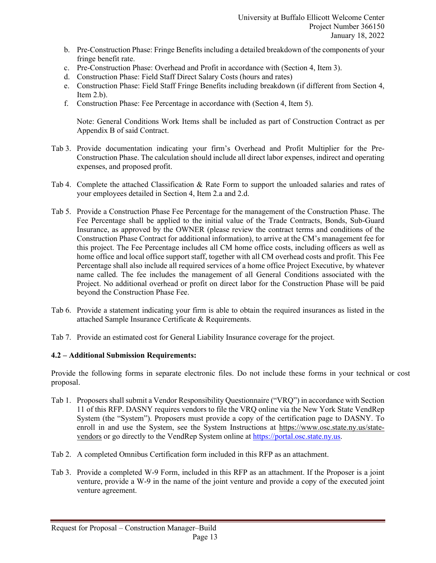- b. Pre-Construction Phase: Fringe Benefits including a detailed breakdown of the components of your fringe benefit rate.
- c. Pre-Construction Phase: Overhead and Profit in accordance with (Section 4, Item 3).
- d. Construction Phase: Field Staff Direct Salary Costs (hours and rates)
- e. Construction Phase: Field Staff Fringe Benefits including breakdown (if different from Section 4, Item  $2.b$ ).
- f. Construction Phase: Fee Percentage in accordance with (Section 4, Item 5).

Note: General Conditions Work Items shall be included as part of Construction Contract as per Appendix B of said Contract.

- Tab 3. Provide documentation indicating your firm's Overhead and Profit Multiplier for the Pre-Construction Phase. The calculation should include all direct labor expenses, indirect and operating expenses, and proposed profit.
- Tab 4. Complete the attached Classification & Rate Form to support the unloaded salaries and rates of your employees detailed in Section 4, Item 2.a and 2.d.
- Tab 5. Provide a Construction Phase Fee Percentage for the management of the Construction Phase. The Fee Percentage shall be applied to the initial value of the Trade Contracts, Bonds, Sub-Guard Insurance, as approved by the OWNER (please review the contract terms and conditions of the Construction Phase Contract for additional information), to arrive at the CM's management fee for this project. The Fee Percentage includes all CM home office costs, including officers as well as home office and local office support staff, together with all CM overhead costs and profit. This Fee Percentage shall also include all required services of a home office Project Executive, by whatever name called. The fee includes the management of all General Conditions associated with the Project. No additional overhead or profit on direct labor for the Construction Phase will be paid beyond the Construction Phase Fee.
- Tab 6. Provide a statement indicating your firm is able to obtain the required insurances as listed in the attached Sample Insurance Certificate & Requirements.
- Tab 7. Provide an estimated cost for General Liability Insurance coverage for the project.

# **4.2 – Additional Submission Requirements:**

Provide the following forms in separate electronic files. Do not include these forms in your technical or cost proposal.

- Tab 1. Proposers shall submit a Vendor Responsibility Questionnaire ("VRQ") in accordance with Section 11 of this RFP. DASNY requires vendors to file the VRQ online via the New York State VendRep System (the "System"). Proposers must provide a copy of the certification page to DASNY. To enroll in and use the System, see the System Instructions at [https://www.osc.state.ny.us/state](https://www.osc.state.ny.us/state-vendors)[vendors](https://www.osc.state.ny.us/state-vendors) or go directly to the VendRep System online at [https://portal.osc.state.ny.us.](https://portal.osc.state.ny.us/)
- Tab 2. A completed Omnibus Certification form included in this RFP as an attachment.
- Tab 3. Provide a completed W-9 Form, included in this RFP as an attachment. If the Proposer is a joint venture, provide a W-9 in the name of the joint venture and provide a copy of the executed joint venture agreement.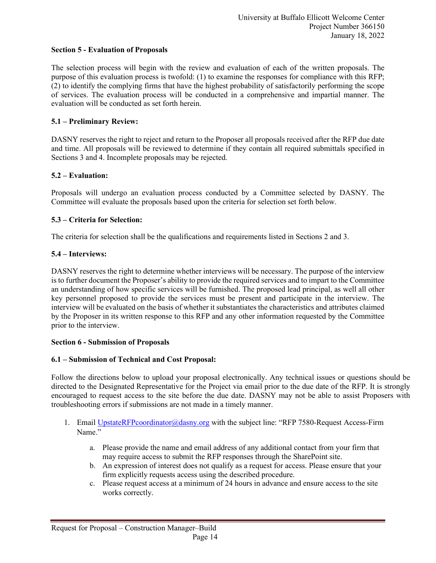#### **Section 5 - Evaluation of Proposals**

The selection process will begin with the review and evaluation of each of the written proposals. The purpose of this evaluation process is twofold: (1) to examine the responses for compliance with this RFP; (2) to identify the complying firms that have the highest probability of satisfactorily performing the scope of services. The evaluation process will be conducted in a comprehensive and impartial manner. The evaluation will be conducted as set forth herein.

#### **5.1 – Preliminary Review:**

DASNY reserves the right to reject and return to the Proposer all proposals received after the RFP due date and time. All proposals will be reviewed to determine if they contain all required submittals specified in Sections 3 and 4. Incomplete proposals may be rejected.

#### **5.2 – Evaluation:**

Proposals will undergo an evaluation process conducted by a Committee selected by DASNY. The Committee will evaluate the proposals based upon the criteria for selection set forth below.

#### **5.3 – Criteria for Selection:**

The criteria for selection shall be the qualifications and requirements listed in Sections 2 and 3.

#### **5.4 – Interviews:**

DASNY reserves the right to determine whether interviews will be necessary. The purpose of the interview is to further document the Proposer's ability to provide the required services and to impart to the Committee an understanding of how specific services will be furnished. The proposed lead principal, as well all other key personnel proposed to provide the services must be present and participate in the interview. The interview will be evaluated on the basis of whether it substantiates the characteristics and attributes claimed by the Proposer in its written response to this RFP and any other information requested by the Committee prior to the interview.

#### **Section 6 - Submission of Proposals**

#### **6.1 – Submission of Technical and Cost Proposal:**

Follow the directions below to upload your proposal electronically. Any technical issues or questions should be directed to the Designated Representative for the Project via email prior to the due date of the RFP. It is strongly encouraged to request access to the site before the due date. DASNY may not be able to assist Proposers with troubleshooting errors if submissions are not made in a timely manner.

- 1. Email [UpstateRFPcoordinator@dasny.org](mailto:UpstateRFPcoordinator@dasny.org) with the subject line: "RFP 7580-Request Access-Firm Name."
	- a. Please provide the name and email address of any additional contact from your firm that may require access to submit the RFP responses through the SharePoint site.
	- b. An expression of interest does not qualify as a request for access. Please ensure that your firm explicitly requests access using the described procedure.
	- c. Please request access at a minimum of 24 hours in advance and ensure access to the site works correctly.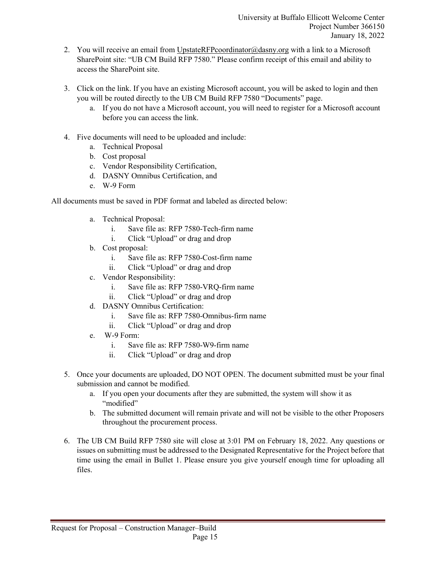- 2. You will receive an email from [UpstateRFPcoordinator@dasny.org](mailto:DownstateRFPcoordinator@dasny.org) with a link to a Microsoft SharePoint site: "UB CM Build RFP 7580." Please confirm receipt of this email and ability to access the SharePoint site.
- 3. Click on the link. If you have an existing Microsoft account, you will be asked to login and then you will be routed directly to the UB CM Build RFP 7580 "Documents" page.
	- a. If you do not have a Microsoft account, you will need to register for a Microsoft account before you can access the link.
- 4. Five documents will need to be uploaded and include:
	- a. Technical Proposal
	- b. Cost proposal
	- c. Vendor Responsibility Certification,
	- d. DASNY Omnibus Certification, and
	- e. W-9 Form

All documents must be saved in PDF format and labeled as directed below:

- a. Technical Proposal:
	- i. Save file as: RFP 7580-Tech-firm name
	- i. Click "Upload" or drag and drop
- b. Cost proposal:
	- i. Save file as: RFP 7580-Cost-firm name
	- ii. Click "Upload" or drag and drop
- c. Vendor Responsibility:
	- i. Save file as: RFP 7580-VRQ-firm name
	- ii. Click "Upload" or drag and drop
- d. DASNY Omnibus Certification:
	- i. Save file as: RFP 7580-Omnibus-firm name
	- ii. Click "Upload" or drag and drop
- e. W-9 Form:
	- i. Save file as: RFP 7580-W9-firm name
	- ii. Click "Upload" or drag and drop
- 5. Once your documents are uploaded, DO NOT OPEN. The document submitted must be your final submission and cannot be modified.
	- a. If you open your documents after they are submitted, the system will show it as "modified"
	- b. The submitted document will remain private and will not be visible to the other Proposers throughout the procurement process.
- 6. The UB CM Build RFP 7580 site will close at 3:01 PM on February 18, 2022. Any questions or issues on submitting must be addressed to the Designated Representative for the Project before that time using the email in Bullet 1. Please ensure you give yourself enough time for uploading all files.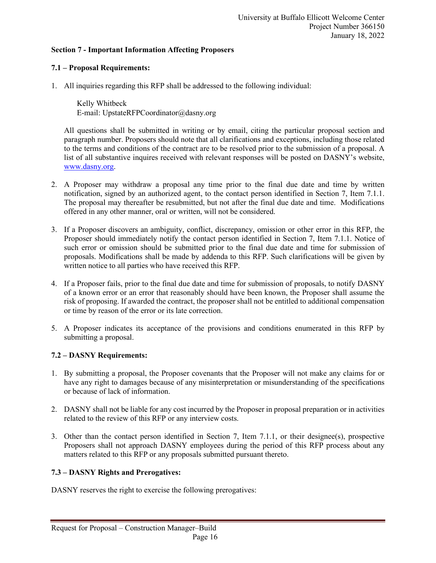#### **Section 7 - Important Information Affecting Proposers**

#### **7.1 – Proposal Requirements:**

1. All inquiries regarding this RFP shall be addressed to the following individual:

Kelly Whitbeck E-mail: UpstateRFPCoordinator@dasny.org

All questions shall be submitted in writing or by email, citing the particular proposal section and paragraph number. Proposers should note that all clarifications and exceptions, including those related to the terms and conditions of the contract are to be resolved prior to the submission of a proposal. A list of all substantive inquires received with relevant responses will be posted on DASNY's website, [www.dasny.org.](http://www.dasny.org/)

- 2. A Proposer may withdraw a proposal any time prior to the final due date and time by written notification, signed by an authorized agent, to the contact person identified in Section 7, Item 7.1.1. The proposal may thereafter be resubmitted, but not after the final due date and time. Modifications offered in any other manner, oral or written, will not be considered.
- 3. If a Proposer discovers an ambiguity, conflict, discrepancy, omission or other error in this RFP, the Proposer should immediately notify the contact person identified in Section 7, Item 7.1.1. Notice of such error or omission should be submitted prior to the final due date and time for submission of proposals. Modifications shall be made by addenda to this RFP. Such clarifications will be given by written notice to all parties who have received this RFP.
- 4. If a Proposer fails, prior to the final due date and time for submission of proposals, to notify DASNY of a known error or an error that reasonably should have been known, the Proposer shall assume the risk of proposing. If awarded the contract, the proposer shall not be entitled to additional compensation or time by reason of the error or its late correction.
- 5. A Proposer indicates its acceptance of the provisions and conditions enumerated in this RFP by submitting a proposal.

#### **7.2 – DASNY Requirements:**

- 1. By submitting a proposal, the Proposer covenants that the Proposer will not make any claims for or have any right to damages because of any misinterpretation or misunderstanding of the specifications or because of lack of information.
- 2. DASNY shall not be liable for any cost incurred by the Proposer in proposal preparation or in activities related to the review of this RFP or any interview costs.
- 3. Other than the contact person identified in Section 7, Item 7.1.1, or their designee(s), prospective Proposers shall not approach DASNY employees during the period of this RFP process about any matters related to this RFP or any proposals submitted pursuant thereto.

#### **7.3 – DASNY Rights and Prerogatives:**

DASNY reserves the right to exercise the following prerogatives: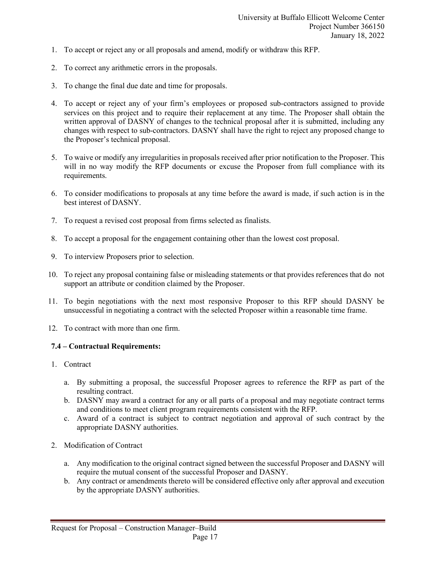- 1. To accept or reject any or all proposals and amend, modify or withdraw this RFP.
- 2. To correct any arithmetic errors in the proposals.
- 3. To change the final due date and time for proposals.
- 4. To accept or reject any of your firm's employees or proposed sub-contractors assigned to provide services on this project and to require their replacement at any time. The Proposer shall obtain the written approval of DASNY of changes to the technical proposal after it is submitted, including any changes with respect to sub-contractors. DASNY shall have the right to reject any proposed change to the Proposer's technical proposal.
- 5. To waive or modify any irregularities in proposals received after prior notification to the Proposer. This will in no way modify the RFP documents or excuse the Proposer from full compliance with its requirements.
- 6. To consider modifications to proposals at any time before the award is made, if such action is in the best interest of DASNY.
- 7. To request a revised cost proposal from firms selected as finalists.
- 8. To accept a proposal for the engagement containing other than the lowest cost proposal.
- 9. To interview Proposers prior to selection.
- 10. To reject any proposal containing false or misleading statements or that provides references that do not support an attribute or condition claimed by the Proposer.
- 11. To begin negotiations with the next most responsive Proposer to this RFP should DASNY be unsuccessful in negotiating a contract with the selected Proposer within a reasonable time frame.
- 12. To contract with more than one firm.

#### **7.4 – Contractual Requirements:**

- 1. Contract
	- a. By submitting a proposal, the successful Proposer agrees to reference the RFP as part of the resulting contract.
	- b. DASNY may award a contract for any or all parts of a proposal and may negotiate contract terms and conditions to meet client program requirements consistent with the RFP.
	- c. Award of a contract is subject to contract negotiation and approval of such contract by the appropriate DASNY authorities.
- 2. Modification of Contract
	- a. Any modification to the original contract signed between the successful Proposer and DASNY will require the mutual consent of the successful Proposer and DASNY.
	- b. Any contract or amendments thereto will be considered effective only after approval and execution by the appropriate DASNY authorities.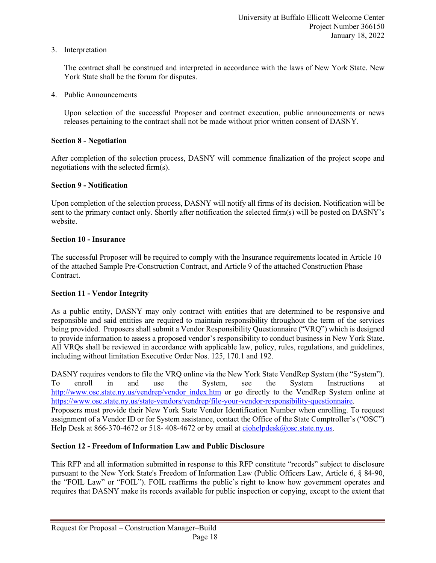3. Interpretation

The contract shall be construed and interpreted in accordance with the laws of New York State. New York State shall be the forum for disputes.

4. Public Announcements

Upon selection of the successful Proposer and contract execution, public announcements or news releases pertaining to the contract shall not be made without prior written consent of DASNY.

#### **Section 8 - Negotiation**

After completion of the selection process, DASNY will commence finalization of the project scope and negotiations with the selected firm(s).

#### **Section 9 - Notification**

Upon completion of the selection process, DASNY will notify all firms of its decision. Notification will be sent to the primary contact only. Shortly after notification the selected firm(s) will be posted on DASNY's website.

#### **Section 10 - Insurance**

The successful Proposer will be required to comply with the Insurance requirements located in Article 10 of the attached Sample Pre-Construction Contract, and Article 9 of the attached Construction Phase Contract.

#### **Section 11 - Vendor Integrity**

As a public entity, DASNY may only contract with entities that are determined to be responsive and responsible and said entities are required to maintain responsibility throughout the term of the services being provided. Proposers shall submit a Vendor Responsibility Questionnaire ("VRQ") which is designed to provide information to assess a proposed vendor's responsibility to conduct business in New York State. All VRQs shall be reviewed in accordance with applicable law, policy, rules, regulations, and guidelines, including without limitation Executive Order Nos. 125, 170.1 and 192.

DASNY requires vendors to file the VRQ online via the New York State VendRep System (the "System"). To enroll in and use the System, see the System Instructions at [http://www.osc.state.ny.us/vendrep/vendor\\_index.htm](http://www.osc.state.ny.us/vendrep/vendor_index.htm) or go directly to the VendRep System online at [https://www.osc.state.ny.us/state-vendors/vendrep/file-your-vendor-responsibility-questionnaire.](https://www.osc.state.ny.us/state-vendors/vendrep/file-your-vendor-responsibility-questionnaire) Proposers must provide their New York State Vendor Identification Number when enrolling. To request assignment of a Vendor ID or for System assistance, contact the Office of the State Comptroller's ("OSC") Help Desk at 866-370-4672 or 518-408-4672 or by email at [ciohelpdesk@osc.state.ny.us.](mailto:ciohelpdesk@osc.state.ny.us)

#### **Section 12 - Freedom of Information Law and Public Disclosure**

This RFP and all information submitted in response to this RFP constitute "records" subject to disclosure pursuant to the New York State's Freedom of Information Law (Public Officers Law, Article 6, § 84-90, the "FOIL Law" or "FOIL"). FOIL reaffirms the public's right to know how government operates and requires that DASNY make its records available for public inspection or copying, except to the extent that